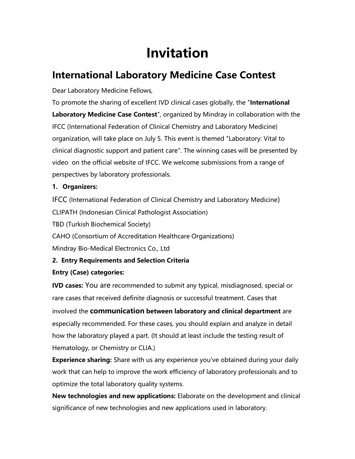# **Invitation**

## **International Laboratory Medicine Case Contest**

Dear Laboratory Medicine Fellows,

To promote the sharing of excellent IVD clinical cases globally, the "**International Laboratory Medicine Case Contest**", organized by Mindray in collaboration with the IFCC (International Federation of Clinical Chemistry and Laboratory Medicine) organization, will take place on July 5. This event is themed "Laboratory: Vital to clinical diagnostic support and patient care". The winning cases will be presented by video on the official website of IFCC. We welcome submissions from a range of perspectives by laboratory professionals.

#### **1. Organizers:**

IFCC (International Federation of Clinical Chemistry and Laboratory Medicine) CLIPATH (Indonesian Clinical Pathologist Association) TBD (Turkish Biochemical Society) CAHO (Consortium of Accreditation Healthcare Organizations) Mindray Bio-Medical Electronics Co., Ltd

#### **2. Entry Requirements and Selection Criteria**

#### **Entry (Case) categories:**

**IVD cases:** You are recommended to submit any typical, misdiagnosed, special or rare cases that received definite diagnosis or successful treatment. Cases that involved the **communication between laboratory and clinical department** are especially recommended. For these cases, you should explain and analyze in detail how the laboratory played a part. (It should at least include the testing result of Hematology, or Chemistry or CLIA.)

**Experience sharing:** Share with us any experience you've obtained during your daily work that can help to improve the work efficiency of laboratory professionals and to optimize the total laboratory quality systems.

**New technologies and new applications:** Elaborate on the development and clinical significance of new technologies and new applications used in laboratory.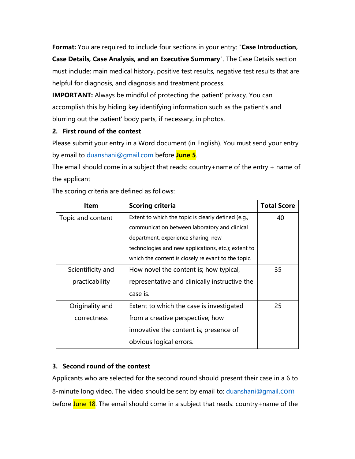**Format:** You are required to include four sections in your entry: "**Case Introduction, Case Details, Case Analysis, and an Executive Summary**". The Case Details section must include: main medical history, positive test results, negative test results that are helpful for diagnosis, and diagnosis and treatment process.

**IMPORTANT:** Always be mindful of protecting the patient' privacy. You can accomplish this by hiding key identifying information such as the patient's and blurring out the patient' body parts, if necessary, in photos.

#### **2. First round of the contest**

Please submit your entry in a Word document (in English). You must send your entry by email to [duanshani@gmail.com](mailto:duanshani@gmail.com) before **June 5**.

The email should come in a subject that reads: country+name of the entry + name of the applicant

| <b>Item</b>       | <b>Scoring criteria</b>                             | <b>Total Score</b> |
|-------------------|-----------------------------------------------------|--------------------|
| Topic and content | Extent to which the topic is clearly defined (e.g., | 40                 |
|                   | communication between laboratory and clinical       |                    |
|                   | department, experience sharing, new                 |                    |
|                   | technologies and new applications, etc.); extent to |                    |
|                   | which the content is closely relevant to the topic. |                    |
| Scientificity and | How novel the content is; how typical,              | 35                 |
| practicability    | representative and clinically instructive the       |                    |
|                   | case is.                                            |                    |
| Originality and   | Extent to which the case is investigated            | 25                 |
| correctness       | from a creative perspective; how                    |                    |
|                   | innovative the content is; presence of              |                    |
|                   | obvious logical errors.                             |                    |

The scoring criteria are defined as follows:

#### **3. Second round of the contest**

Applicants who are selected for the second round should present their case in a 6 to 8-minute long video. The video should be sent by email to: [duanshani@gmail](mailto:duanshani@gmail.com).com before June 18. The email should come in a subject that reads: country+name of the